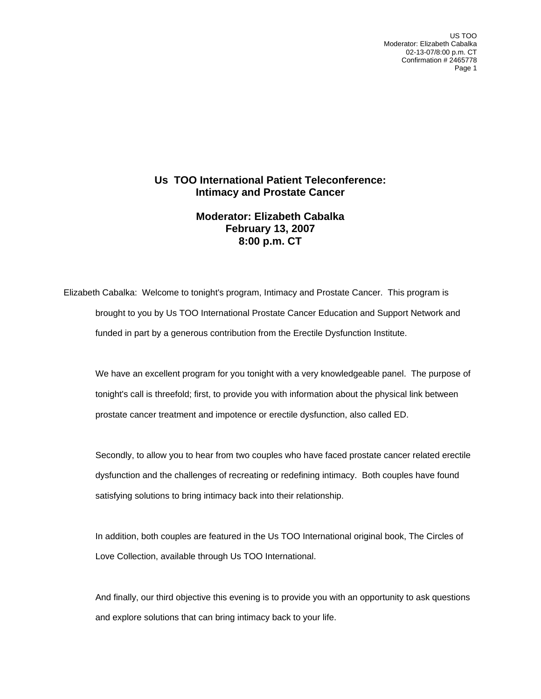US TOO Moderator: Elizabeth Cabalka 02-13-07/8:00 p.m. CT Confirmation # 2465778 Page 1

## **Us TOO International Patient Teleconference: Intimacy and Prostate Cancer**

## **Moderator: Elizabeth Cabalka February 13, 2007 8:00 p.m. CT**

Elizabeth Cabalka: Welcome to tonight's program, Intimacy and Prostate Cancer. This program is brought to you by Us TOO International Prostate Cancer Education and Support Network and funded in part by a generous contribution from the Erectile Dysfunction Institute.

 We have an excellent program for you tonight with a very knowledgeable panel. The purpose of tonight's call is threefold; first, to provide you with information about the physical link between prostate cancer treatment and impotence or erectile dysfunction, also called ED.

 Secondly, to allow you to hear from two couples who have faced prostate cancer related erectile dysfunction and the challenges of recreating or redefining intimacy. Both couples have found satisfying solutions to bring intimacy back into their relationship.

 In addition, both couples are featured in the Us TOO International original book, The Circles of Love Collection, available through Us TOO International.

And finally, our third objective this evening is to provide you with an opportunity to ask questions and explore solutions that can bring intimacy back to your life.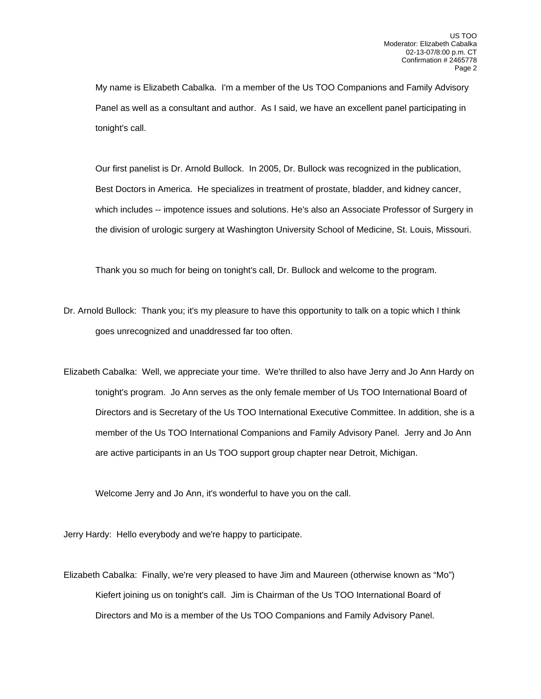My name is Elizabeth Cabalka. I'm a member of the Us TOO Companions and Family Advisory Panel as well as a consultant and author. As I said, we have an excellent panel participating in tonight's call.

 Our first panelist is Dr. Arnold Bullock. In 2005, Dr. Bullock was recognized in the publication, Best Doctors in America. He specializes in treatment of prostate, bladder, and kidney cancer, which includes -- impotence issues and solutions. He's also an Associate Professor of Surgery in the division of urologic surgery at Washington University School of Medicine, St. Louis, Missouri.

Thank you so much for being on tonight's call, Dr. Bullock and welcome to the program.

- Dr. Arnold Bullock: Thank you; it's my pleasure to have this opportunity to talk on a topic which I think goes unrecognized and unaddressed far too often.
- Elizabeth Cabalka: Well, we appreciate your time. We're thrilled to also have Jerry and Jo Ann Hardy on tonight's program. Jo Ann serves as the only female member of Us TOO International Board of Directors and is Secretary of the Us TOO International Executive Committee. In addition, she is a member of the Us TOO International Companions and Family Advisory Panel. Jerry and Jo Ann are active participants in an Us TOO support group chapter near Detroit, Michigan.

Welcome Jerry and Jo Ann, it's wonderful to have you on the call.

Jerry Hardy: Hello everybody and we're happy to participate.

Elizabeth Cabalka: Finally, we're very pleased to have Jim and Maureen (otherwise known as "Mo") Kiefert joining us on tonight's call. Jim is Chairman of the Us TOO International Board of Directors and Mo is a member of the Us TOO Companions and Family Advisory Panel.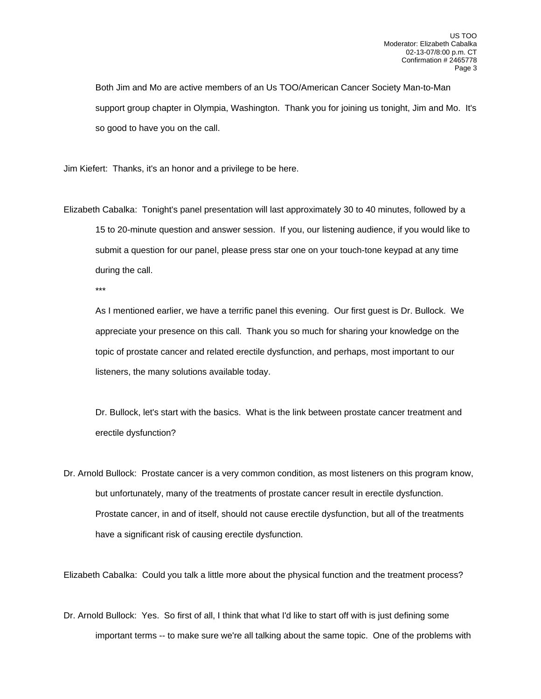Both Jim and Mo are active members of an Us TOO/American Cancer Society Man-to-Man support group chapter in Olympia, Washington. Thank you for joining us tonight, Jim and Mo. It's so good to have you on the call.

Jim Kiefert: Thanks, it's an honor and a privilege to be here.

Elizabeth Cabalka: Tonight's panel presentation will last approximately 30 to 40 minutes, followed by a 15 to 20-minute question and answer session. If you, our listening audience, if you would like to submit a question for our panel, please press star one on your touch-tone keypad at any time during the call.

\*\*\*

 As I mentioned earlier, we have a terrific panel this evening. Our first guest is Dr. Bullock. We appreciate your presence on this call. Thank you so much for sharing your knowledge on the topic of prostate cancer and related erectile dysfunction, and perhaps, most important to our listeners, the many solutions available today.

 Dr. Bullock, let's start with the basics. What is the link between prostate cancer treatment and erectile dysfunction?

Dr. Arnold Bullock: Prostate cancer is a very common condition, as most listeners on this program know, but unfortunately, many of the treatments of prostate cancer result in erectile dysfunction. Prostate cancer, in and of itself, should not cause erectile dysfunction, but all of the treatments have a significant risk of causing erectile dysfunction.

Elizabeth Cabalka: Could you talk a little more about the physical function and the treatment process?

Dr. Arnold Bullock: Yes. So first of all, I think that what I'd like to start off with is just defining some important terms -- to make sure we're all talking about the same topic. One of the problems with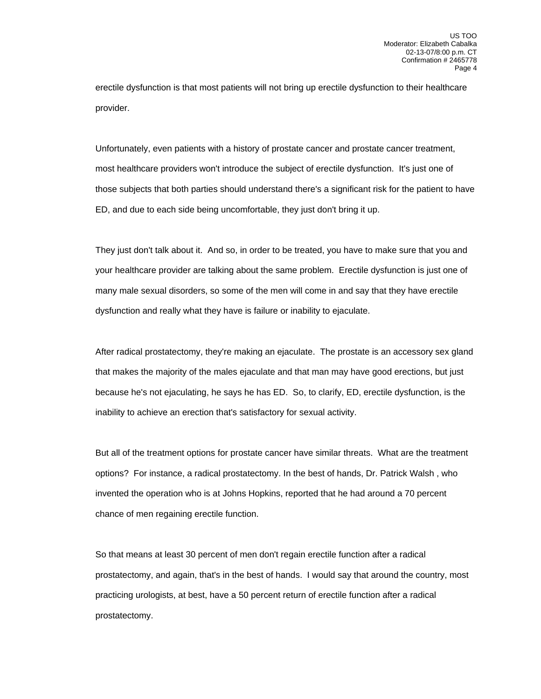erectile dysfunction is that most patients will not bring up erectile dysfunction to their healthcare provider.

 Unfortunately, even patients with a history of prostate cancer and prostate cancer treatment, most healthcare providers won't introduce the subject of erectile dysfunction. It's just one of those subjects that both parties should understand there's a significant risk for the patient to have ED, and due to each side being uncomfortable, they just don't bring it up.

 They just don't talk about it. And so, in order to be treated, you have to make sure that you and your healthcare provider are talking about the same problem. Erectile dysfunction is just one of many male sexual disorders, so some of the men will come in and say that they have erectile dysfunction and really what they have is failure or inability to ejaculate.

 After radical prostatectomy, they're making an ejaculate. The prostate is an accessory sex gland that makes the majority of the males ejaculate and that man may have good erections, but just because he's not ejaculating, he says he has ED. So, to clarify, ED, erectile dysfunction, is the inability to achieve an erection that's satisfactory for sexual activity.

 But all of the treatment options for prostate cancer have similar threats. What are the treatment options? For instance, a radical prostatectomy. In the best of hands, Dr. Patrick Walsh , who invented the operation who is at Johns Hopkins, reported that he had around a 70 percent chance of men regaining erectile function.

 So that means at least 30 percent of men don't regain erectile function after a radical prostatectomy, and again, that's in the best of hands. I would say that around the country, most practicing urologists, at best, have a 50 percent return of erectile function after a radical prostatectomy.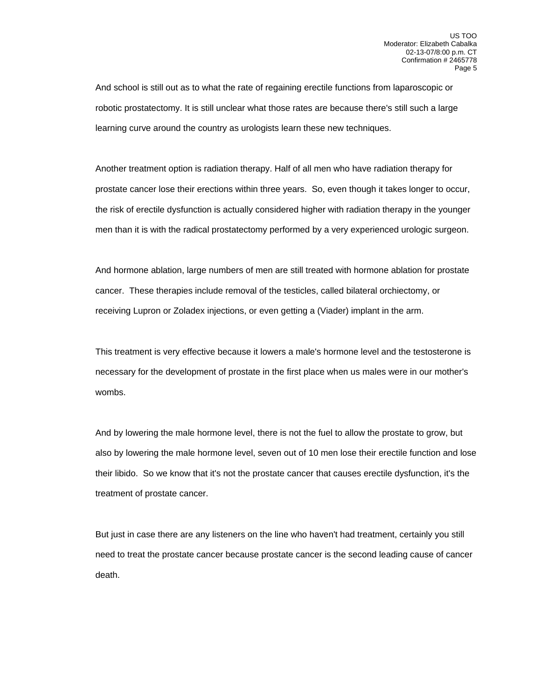And school is still out as to what the rate of regaining erectile functions from laparoscopic or robotic prostatectomy. It is still unclear what those rates are because there's still such a large learning curve around the country as urologists learn these new techniques.

 Another treatment option is radiation therapy. Half of all men who have radiation therapy for prostate cancer lose their erections within three years. So, even though it takes longer to occur, the risk of erectile dysfunction is actually considered higher with radiation therapy in the younger men than it is with the radical prostatectomy performed by a very experienced urologic surgeon.

 And hormone ablation, large numbers of men are still treated with hormone ablation for prostate cancer. These therapies include removal of the testicles, called bilateral orchiectomy, or receiving Lupron or Zoladex injections, or even getting a (Viader) implant in the arm.

 This treatment is very effective because it lowers a male's hormone level and the testosterone is necessary for the development of prostate in the first place when us males were in our mother's wombs.

 And by lowering the male hormone level, there is not the fuel to allow the prostate to grow, but also by lowering the male hormone level, seven out of 10 men lose their erectile function and lose their libido. So we know that it's not the prostate cancer that causes erectile dysfunction, it's the treatment of prostate cancer.

 But just in case there are any listeners on the line who haven't had treatment, certainly you still need to treat the prostate cancer because prostate cancer is the second leading cause of cancer death.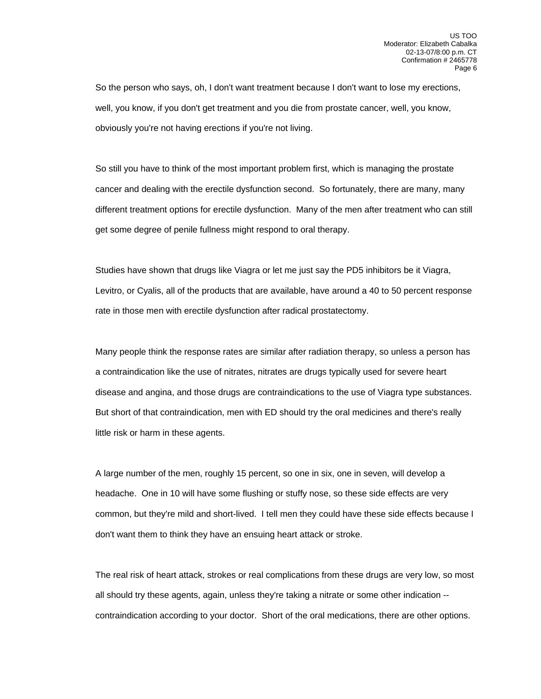So the person who says, oh, I don't want treatment because I don't want to lose my erections, well, you know, if you don't get treatment and you die from prostate cancer, well, you know, obviously you're not having erections if you're not living.

 So still you have to think of the most important problem first, which is managing the prostate cancer and dealing with the erectile dysfunction second. So fortunately, there are many, many different treatment options for erectile dysfunction. Many of the men after treatment who can still get some degree of penile fullness might respond to oral therapy.

 Studies have shown that drugs like Viagra or let me just say the PD5 inhibitors be it Viagra, Levitro, or Cyalis, all of the products that are available, have around a 40 to 50 percent response rate in those men with erectile dysfunction after radical prostatectomy.

 Many people think the response rates are similar after radiation therapy, so unless a person has a contraindication like the use of nitrates, nitrates are drugs typically used for severe heart disease and angina, and those drugs are contraindications to the use of Viagra type substances. But short of that contraindication, men with ED should try the oral medicines and there's really little risk or harm in these agents.

 A large number of the men, roughly 15 percent, so one in six, one in seven, will develop a headache. One in 10 will have some flushing or stuffy nose, so these side effects are very common, but they're mild and short-lived. I tell men they could have these side effects because I don't want them to think they have an ensuing heart attack or stroke.

 The real risk of heart attack, strokes or real complications from these drugs are very low, so most all should try these agents, again, unless they're taking a nitrate or some other indication - contraindication according to your doctor. Short of the oral medications, there are other options.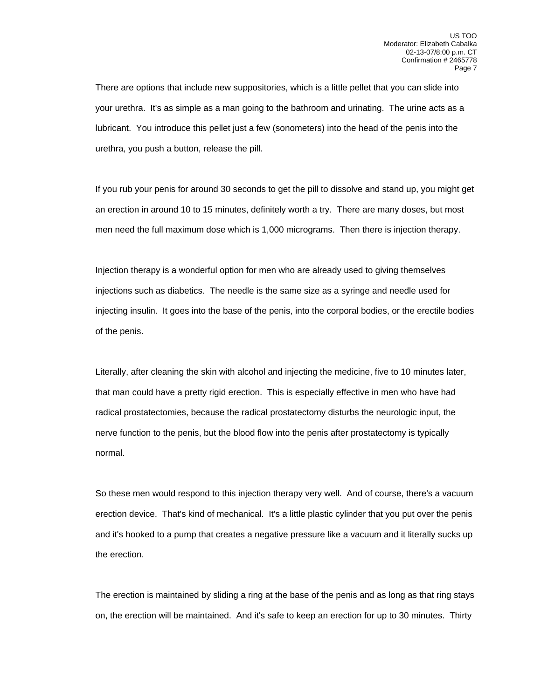There are options that include new suppositories, which is a little pellet that you can slide into your urethra. It's as simple as a man going to the bathroom and urinating. The urine acts as a lubricant. You introduce this pellet just a few (sonometers) into the head of the penis into the urethra, you push a button, release the pill.

 If you rub your penis for around 30 seconds to get the pill to dissolve and stand up, you might get an erection in around 10 to 15 minutes, definitely worth a try. There are many doses, but most men need the full maximum dose which is 1,000 micrograms. Then there is injection therapy.

 Injection therapy is a wonderful option for men who are already used to giving themselves injections such as diabetics. The needle is the same size as a syringe and needle used for injecting insulin. It goes into the base of the penis, into the corporal bodies, or the erectile bodies of the penis.

 Literally, after cleaning the skin with alcohol and injecting the medicine, five to 10 minutes later, that man could have a pretty rigid erection. This is especially effective in men who have had radical prostatectomies, because the radical prostatectomy disturbs the neurologic input, the nerve function to the penis, but the blood flow into the penis after prostatectomy is typically normal.

 So these men would respond to this injection therapy very well. And of course, there's a vacuum erection device. That's kind of mechanical. It's a little plastic cylinder that you put over the penis and it's hooked to a pump that creates a negative pressure like a vacuum and it literally sucks up the erection.

 The erection is maintained by sliding a ring at the base of the penis and as long as that ring stays on, the erection will be maintained. And it's safe to keep an erection for up to 30 minutes. Thirty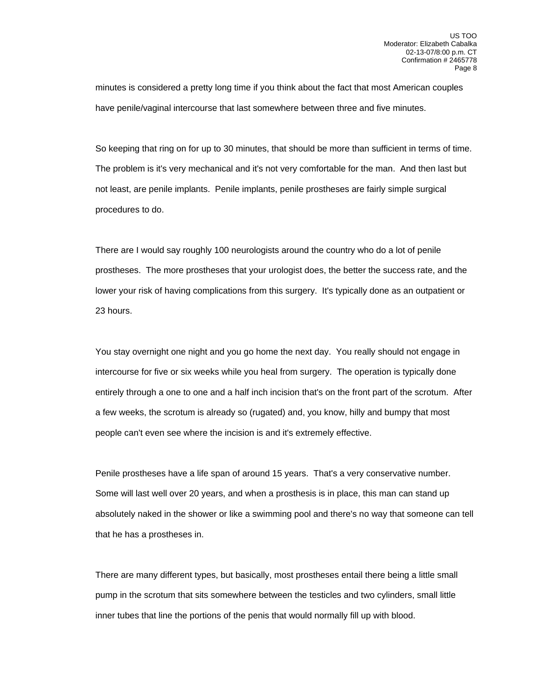minutes is considered a pretty long time if you think about the fact that most American couples have penile/vaginal intercourse that last somewhere between three and five minutes.

 So keeping that ring on for up to 30 minutes, that should be more than sufficient in terms of time. The problem is it's very mechanical and it's not very comfortable for the man. And then last but not least, are penile implants. Penile implants, penile prostheses are fairly simple surgical procedures to do.

 There are I would say roughly 100 neurologists around the country who do a lot of penile prostheses. The more prostheses that your urologist does, the better the success rate, and the lower your risk of having complications from this surgery. It's typically done as an outpatient or 23 hours.

 You stay overnight one night and you go home the next day. You really should not engage in intercourse for five or six weeks while you heal from surgery. The operation is typically done entirely through a one to one and a half inch incision that's on the front part of the scrotum. After a few weeks, the scrotum is already so (rugated) and, you know, hilly and bumpy that most people can't even see where the incision is and it's extremely effective.

 Penile prostheses have a life span of around 15 years. That's a very conservative number. Some will last well over 20 years, and when a prosthesis is in place, this man can stand up absolutely naked in the shower or like a swimming pool and there's no way that someone can tell that he has a prostheses in.

 There are many different types, but basically, most prostheses entail there being a little small pump in the scrotum that sits somewhere between the testicles and two cylinders, small little inner tubes that line the portions of the penis that would normally fill up with blood.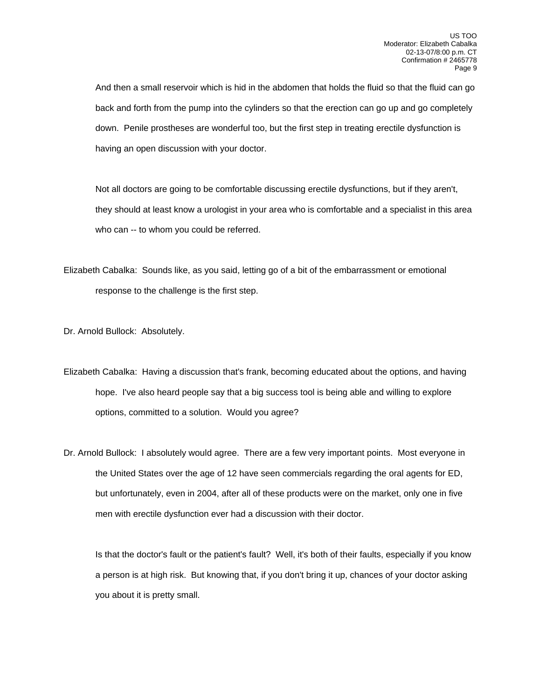And then a small reservoir which is hid in the abdomen that holds the fluid so that the fluid can go back and forth from the pump into the cylinders so that the erection can go up and go completely down. Penile prostheses are wonderful too, but the first step in treating erectile dysfunction is having an open discussion with your doctor.

 Not all doctors are going to be comfortable discussing erectile dysfunctions, but if they aren't, they should at least know a urologist in your area who is comfortable and a specialist in this area who can -- to whom you could be referred.

Elizabeth Cabalka: Sounds like, as you said, letting go of a bit of the embarrassment or emotional response to the challenge is the first step.

Dr. Arnold Bullock: Absolutely.

- Elizabeth Cabalka: Having a discussion that's frank, becoming educated about the options, and having hope. I've also heard people say that a big success tool is being able and willing to explore options, committed to a solution. Would you agree?
- Dr. Arnold Bullock: I absolutely would agree. There are a few very important points. Most everyone in the United States over the age of 12 have seen commercials regarding the oral agents for ED, but unfortunately, even in 2004, after all of these products were on the market, only one in five men with erectile dysfunction ever had a discussion with their doctor.

 Is that the doctor's fault or the patient's fault? Well, it's both of their faults, especially if you know a person is at high risk. But knowing that, if you don't bring it up, chances of your doctor asking you about it is pretty small.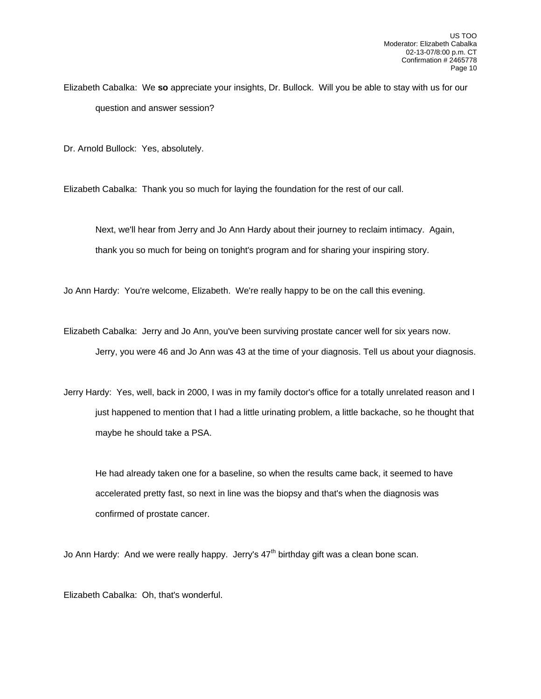Elizabeth Cabalka: We **so** appreciate your insights, Dr. Bullock. Will you be able to stay with us for our question and answer session?

Dr. Arnold Bullock: Yes, absolutely.

Elizabeth Cabalka: Thank you so much for laying the foundation for the rest of our call.

 Next, we'll hear from Jerry and Jo Ann Hardy about their journey to reclaim intimacy. Again, thank you so much for being on tonight's program and for sharing your inspiring story.

Jo Ann Hardy: You're welcome, Elizabeth. We're really happy to be on the call this evening.

Elizabeth Cabalka: Jerry and Jo Ann, you've been surviving prostate cancer well for six years now. Jerry, you were 46 and Jo Ann was 43 at the time of your diagnosis. Tell us about your diagnosis.

Jerry Hardy: Yes, well, back in 2000, I was in my family doctor's office for a totally unrelated reason and I just happened to mention that I had a little urinating problem, a little backache, so he thought that maybe he should take a PSA.

 He had already taken one for a baseline, so when the results came back, it seemed to have accelerated pretty fast, so next in line was the biopsy and that's when the diagnosis was confirmed of prostate cancer.

Jo Ann Hardy: And we were really happy. Jerry's  $47<sup>th</sup>$  birthday gift was a clean bone scan.

Elizabeth Cabalka: Oh, that's wonderful.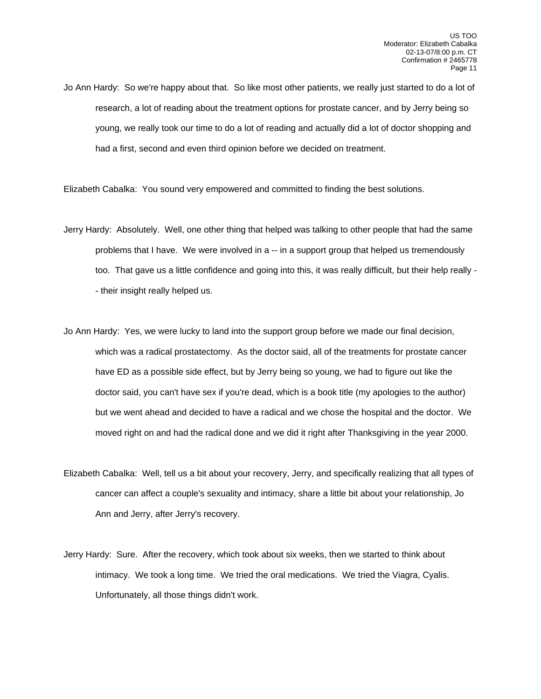Jo Ann Hardy: So we're happy about that. So like most other patients, we really just started to do a lot of research, a lot of reading about the treatment options for prostate cancer, and by Jerry being so young, we really took our time to do a lot of reading and actually did a lot of doctor shopping and had a first, second and even third opinion before we decided on treatment.

Elizabeth Cabalka: You sound very empowered and committed to finding the best solutions.

- Jerry Hardy: Absolutely. Well, one other thing that helped was talking to other people that had the same problems that I have. We were involved in a -- in a support group that helped us tremendously too. That gave us a little confidence and going into this, it was really difficult, but their help really - - their insight really helped us.
- Jo Ann Hardy: Yes, we were lucky to land into the support group before we made our final decision, which was a radical prostatectomy. As the doctor said, all of the treatments for prostate cancer have ED as a possible side effect, but by Jerry being so young, we had to figure out like the doctor said, you can't have sex if you're dead, which is a book title (my apologies to the author) but we went ahead and decided to have a radical and we chose the hospital and the doctor. We moved right on and had the radical done and we did it right after Thanksgiving in the year 2000.
- Elizabeth Cabalka: Well, tell us a bit about your recovery, Jerry, and specifically realizing that all types of cancer can affect a couple's sexuality and intimacy, share a little bit about your relationship, Jo Ann and Jerry, after Jerry's recovery.
- Jerry Hardy: Sure. After the recovery, which took about six weeks, then we started to think about intimacy. We took a long time. We tried the oral medications. We tried the Viagra, Cyalis. Unfortunately, all those things didn't work.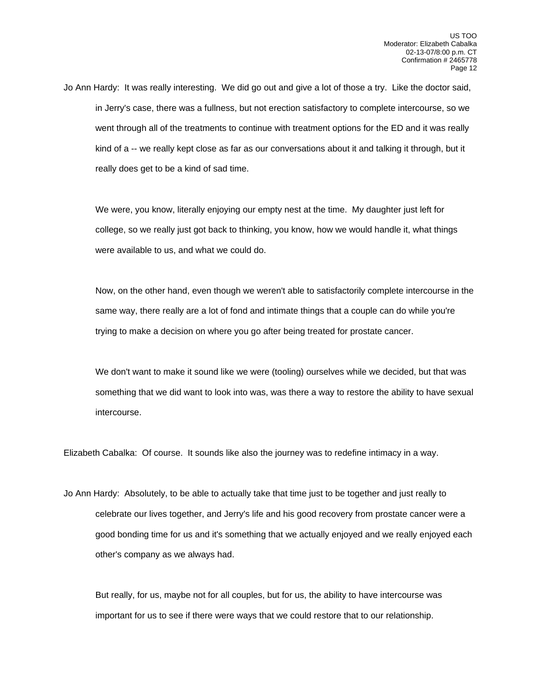Jo Ann Hardy: It was really interesting. We did go out and give a lot of those a try. Like the doctor said, in Jerry's case, there was a fullness, but not erection satisfactory to complete intercourse, so we went through all of the treatments to continue with treatment options for the ED and it was really kind of a -- we really kept close as far as our conversations about it and talking it through, but it really does get to be a kind of sad time.

 We were, you know, literally enjoying our empty nest at the time. My daughter just left for college, so we really just got back to thinking, you know, how we would handle it, what things were available to us, and what we could do.

 Now, on the other hand, even though we weren't able to satisfactorily complete intercourse in the same way, there really are a lot of fond and intimate things that a couple can do while you're trying to make a decision on where you go after being treated for prostate cancer.

 We don't want to make it sound like we were (tooling) ourselves while we decided, but that was something that we did want to look into was, was there a way to restore the ability to have sexual intercourse.

Elizabeth Cabalka: Of course. It sounds like also the journey was to redefine intimacy in a way.

Jo Ann Hardy: Absolutely, to be able to actually take that time just to be together and just really to celebrate our lives together, and Jerry's life and his good recovery from prostate cancer were a good bonding time for us and it's something that we actually enjoyed and we really enjoyed each other's company as we always had.

 But really, for us, maybe not for all couples, but for us, the ability to have intercourse was important for us to see if there were ways that we could restore that to our relationship.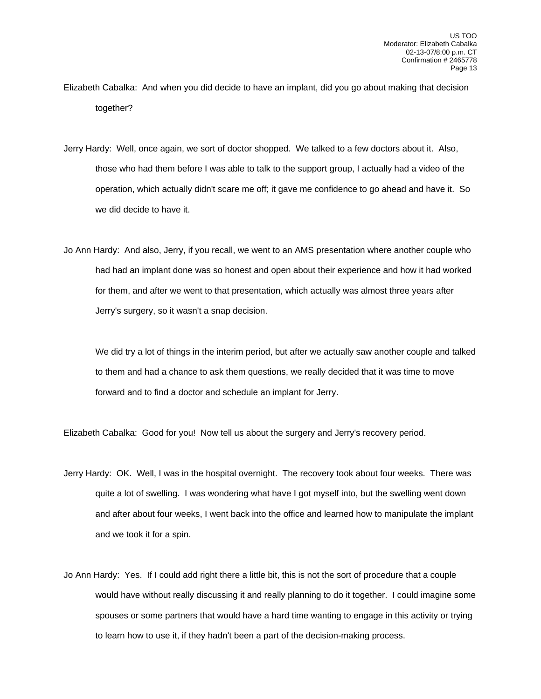- Elizabeth Cabalka: And when you did decide to have an implant, did you go about making that decision together?
- Jerry Hardy: Well, once again, we sort of doctor shopped. We talked to a few doctors about it. Also, those who had them before I was able to talk to the support group, I actually had a video of the operation, which actually didn't scare me off; it gave me confidence to go ahead and have it. So we did decide to have it.
- Jo Ann Hardy: And also, Jerry, if you recall, we went to an AMS presentation where another couple who had had an implant done was so honest and open about their experience and how it had worked for them, and after we went to that presentation, which actually was almost three years after Jerry's surgery, so it wasn't a snap decision.

 We did try a lot of things in the interim period, but after we actually saw another couple and talked to them and had a chance to ask them questions, we really decided that it was time to move forward and to find a doctor and schedule an implant for Jerry.

Elizabeth Cabalka: Good for you! Now tell us about the surgery and Jerry's recovery period.

- Jerry Hardy: OK. Well, I was in the hospital overnight. The recovery took about four weeks. There was quite a lot of swelling. I was wondering what have I got myself into, but the swelling went down and after about four weeks, I went back into the office and learned how to manipulate the implant and we took it for a spin.
- Jo Ann Hardy: Yes. If I could add right there a little bit, this is not the sort of procedure that a couple would have without really discussing it and really planning to do it together. I could imagine some spouses or some partners that would have a hard time wanting to engage in this activity or trying to learn how to use it, if they hadn't been a part of the decision-making process.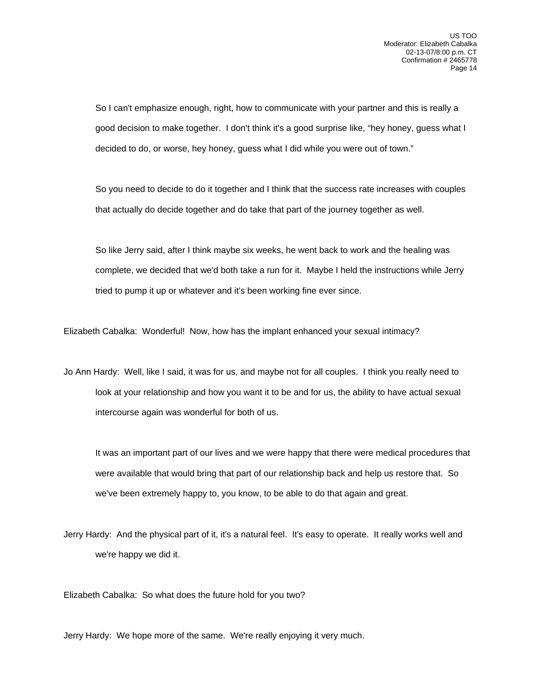So I can't emphasize enough, right, how to communicate with your partner and this is really a good decision to make together. I don't think it's a good surprise like, "hey honey, guess what I decided to do, or worse, hey honey, guess what I did while you were out of town."

 So you need to decide to do it together and I think that the success rate increases with couples that actually do decide together and do take that part of the journey together as well.

 So like Jerry said, after I think maybe six weeks, he went back to work and the healing was complete, we decided that we'd both take a run for it. Maybe I held the instructions while Jerry tried to pump it up or whatever and it's been working fine ever since.

Elizabeth Cabalka: Wonderful! Now, how has the implant enhanced your sexual intimacy?

Jo Ann Hardy: Well, like I said, it was for us, and maybe not for all couples. I think you really need to look at your relationship and how you want it to be and for us, the ability to have actual sexual intercourse again was wonderful for both of us.

 It was an important part of our lives and we were happy that there were medical procedures that were available that would bring that part of our relationship back and help us restore that. So we've been extremely happy to, you know, to be able to do that again and great.

Jerry Hardy: And the physical part of it, it's a natural feel. It's easy to operate. It really works well and we're happy we did it.

Elizabeth Cabalka: So what does the future hold for you two?

Jerry Hardy: We hope more of the same. We're really enjoying it very much.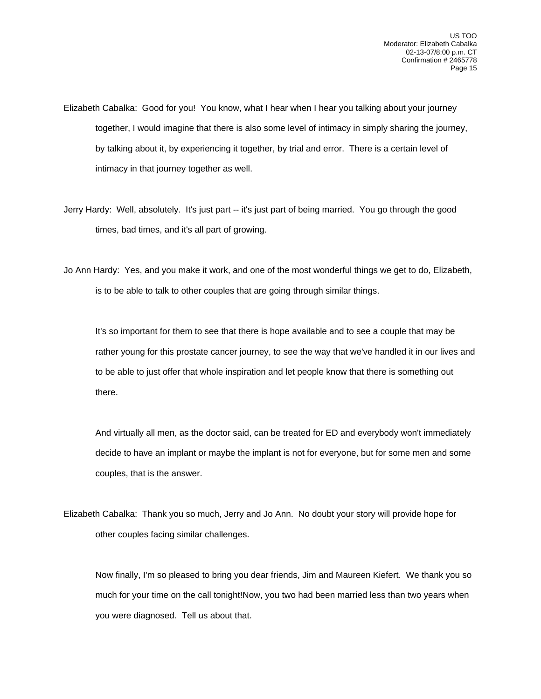- Elizabeth Cabalka: Good for you! You know, what I hear when I hear you talking about your journey together, I would imagine that there is also some level of intimacy in simply sharing the journey, by talking about it, by experiencing it together, by trial and error. There is a certain level of intimacy in that journey together as well.
- Jerry Hardy: Well, absolutely. It's just part -- it's just part of being married. You go through the good times, bad times, and it's all part of growing.
- Jo Ann Hardy: Yes, and you make it work, and one of the most wonderful things we get to do, Elizabeth, is to be able to talk to other couples that are going through similar things.

 It's so important for them to see that there is hope available and to see a couple that may be rather young for this prostate cancer journey, to see the way that we've handled it in our lives and to be able to just offer that whole inspiration and let people know that there is something out there.

 And virtually all men, as the doctor said, can be treated for ED and everybody won't immediately decide to have an implant or maybe the implant is not for everyone, but for some men and some couples, that is the answer.

Elizabeth Cabalka: Thank you so much, Jerry and Jo Ann. No doubt your story will provide hope for other couples facing similar challenges.

 Now finally, I'm so pleased to bring you dear friends, Jim and Maureen Kiefert. We thank you so much for your time on the call tonight!Now, you two had been married less than two years when you were diagnosed. Tell us about that.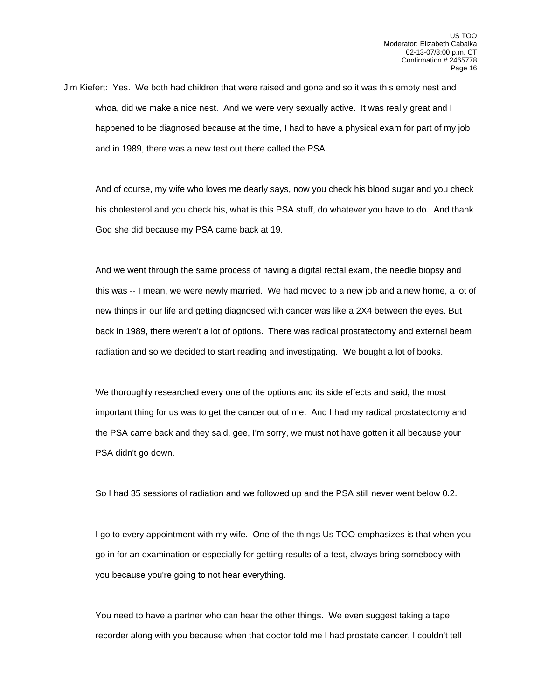Jim Kiefert: Yes. We both had children that were raised and gone and so it was this empty nest and whoa, did we make a nice nest. And we were very sexually active. It was really great and I happened to be diagnosed because at the time, I had to have a physical exam for part of my job and in 1989, there was a new test out there called the PSA.

 And of course, my wife who loves me dearly says, now you check his blood sugar and you check his cholesterol and you check his, what is this PSA stuff, do whatever you have to do. And thank God she did because my PSA came back at 19.

 And we went through the same process of having a digital rectal exam, the needle biopsy and this was -- I mean, we were newly married. We had moved to a new job and a new home, a lot of new things in our life and getting diagnosed with cancer was like a 2X4 between the eyes. But back in 1989, there weren't a lot of options. There was radical prostatectomy and external beam radiation and so we decided to start reading and investigating. We bought a lot of books.

 We thoroughly researched every one of the options and its side effects and said, the most important thing for us was to get the cancer out of me. And I had my radical prostatectomy and the PSA came back and they said, gee, I'm sorry, we must not have gotten it all because your PSA didn't go down.

So I had 35 sessions of radiation and we followed up and the PSA still never went below 0.2.

 I go to every appointment with my wife. One of the things Us TOO emphasizes is that when you go in for an examination or especially for getting results of a test, always bring somebody with you because you're going to not hear everything.

 You need to have a partner who can hear the other things. We even suggest taking a tape recorder along with you because when that doctor told me I had prostate cancer, I couldn't tell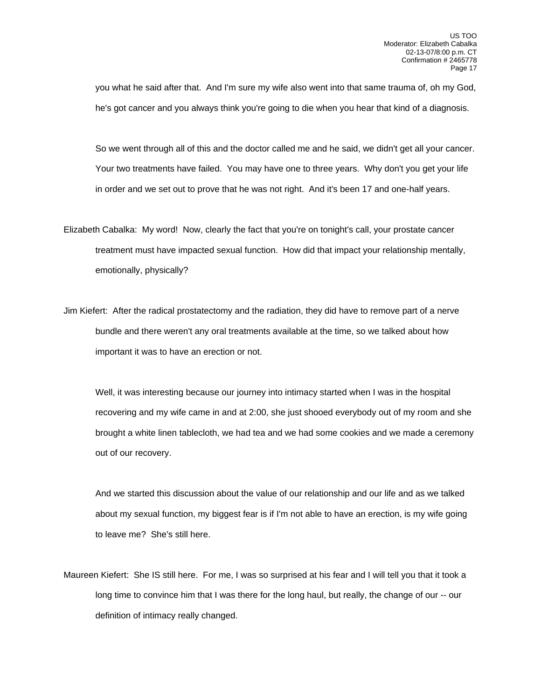you what he said after that. And I'm sure my wife also went into that same trauma of, oh my God, he's got cancer and you always think you're going to die when you hear that kind of a diagnosis.

 So we went through all of this and the doctor called me and he said, we didn't get all your cancer. Your two treatments have failed. You may have one to three years. Why don't you get your life in order and we set out to prove that he was not right. And it's been 17 and one-half years.

- Elizabeth Cabalka: My word! Now, clearly the fact that you're on tonight's call, your prostate cancer treatment must have impacted sexual function. How did that impact your relationship mentally, emotionally, physically?
- Jim Kiefert: After the radical prostatectomy and the radiation, they did have to remove part of a nerve bundle and there weren't any oral treatments available at the time, so we talked about how important it was to have an erection or not.

 Well, it was interesting because our journey into intimacy started when I was in the hospital recovering and my wife came in and at 2:00, she just shooed everybody out of my room and she brought a white linen tablecloth, we had tea and we had some cookies and we made a ceremony out of our recovery.

 And we started this discussion about the value of our relationship and our life and as we talked about my sexual function, my biggest fear is if I'm not able to have an erection, is my wife going to leave me? She's still here.

Maureen Kiefert: She IS still here. For me, I was so surprised at his fear and I will tell you that it took a long time to convince him that I was there for the long haul, but really, the change of our -- our definition of intimacy really changed.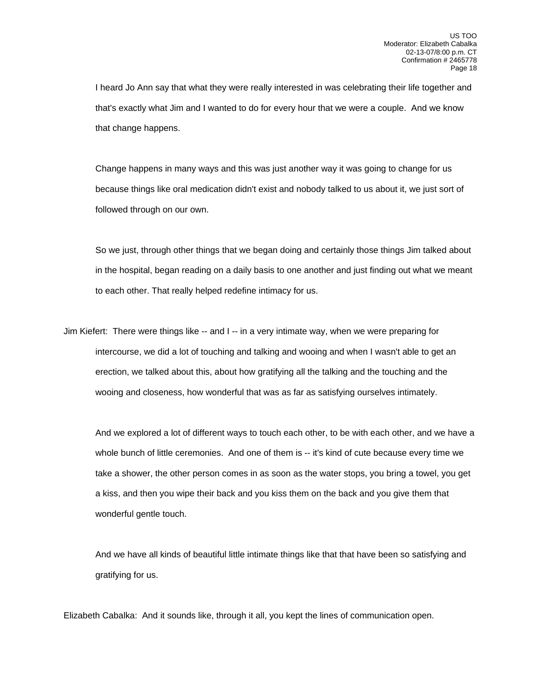I heard Jo Ann say that what they were really interested in was celebrating their life together and that's exactly what Jim and I wanted to do for every hour that we were a couple. And we know that change happens.

 Change happens in many ways and this was just another way it was going to change for us because things like oral medication didn't exist and nobody talked to us about it, we just sort of followed through on our own.

 So we just, through other things that we began doing and certainly those things Jim talked about in the hospital, began reading on a daily basis to one another and just finding out what we meant to each other. That really helped redefine intimacy for us.

Jim Kiefert: There were things like -- and I -- in a very intimate way, when we were preparing for intercourse, we did a lot of touching and talking and wooing and when I wasn't able to get an erection, we talked about this, about how gratifying all the talking and the touching and the wooing and closeness, how wonderful that was as far as satisfying ourselves intimately.

 And we explored a lot of different ways to touch each other, to be with each other, and we have a whole bunch of little ceremonies. And one of them is -- it's kind of cute because every time we take a shower, the other person comes in as soon as the water stops, you bring a towel, you get a kiss, and then you wipe their back and you kiss them on the back and you give them that wonderful gentle touch.

 And we have all kinds of beautiful little intimate things like that that have been so satisfying and gratifying for us.

Elizabeth Cabalka: And it sounds like, through it all, you kept the lines of communication open.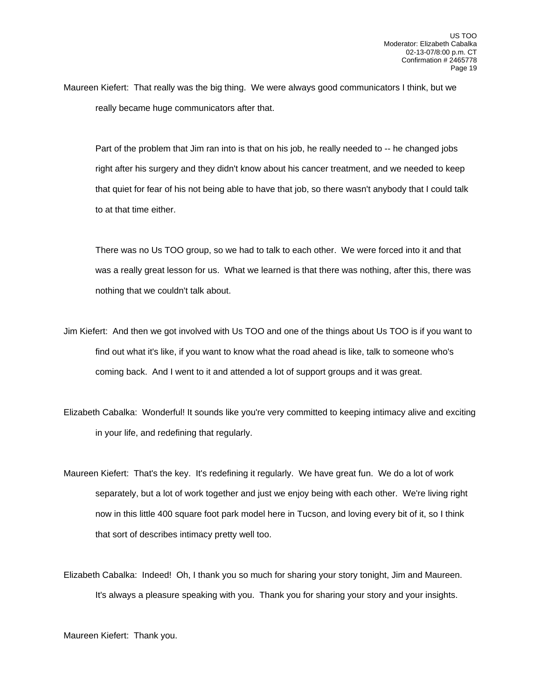Maureen Kiefert: That really was the big thing. We were always good communicators I think, but we really became huge communicators after that.

Part of the problem that Jim ran into is that on his job, he really needed to -- he changed jobs right after his surgery and they didn't know about his cancer treatment, and we needed to keep that quiet for fear of his not being able to have that job, so there wasn't anybody that I could talk to at that time either.

 There was no Us TOO group, so we had to talk to each other. We were forced into it and that was a really great lesson for us. What we learned is that there was nothing, after this, there was nothing that we couldn't talk about.

- Jim Kiefert: And then we got involved with Us TOO and one of the things about Us TOO is if you want to find out what it's like, if you want to know what the road ahead is like, talk to someone who's coming back. And I went to it and attended a lot of support groups and it was great.
- Elizabeth Cabalka: Wonderful! It sounds like you're very committed to keeping intimacy alive and exciting in your life, and redefining that regularly.
- Maureen Kiefert: That's the key. It's redefining it regularly. We have great fun. We do a lot of work separately, but a lot of work together and just we enjoy being with each other. We're living right now in this little 400 square foot park model here in Tucson, and loving every bit of it, so I think that sort of describes intimacy pretty well too.
- Elizabeth Cabalka: Indeed! Oh, I thank you so much for sharing your story tonight, Jim and Maureen. It's always a pleasure speaking with you. Thank you for sharing your story and your insights.

Maureen Kiefert: Thank you.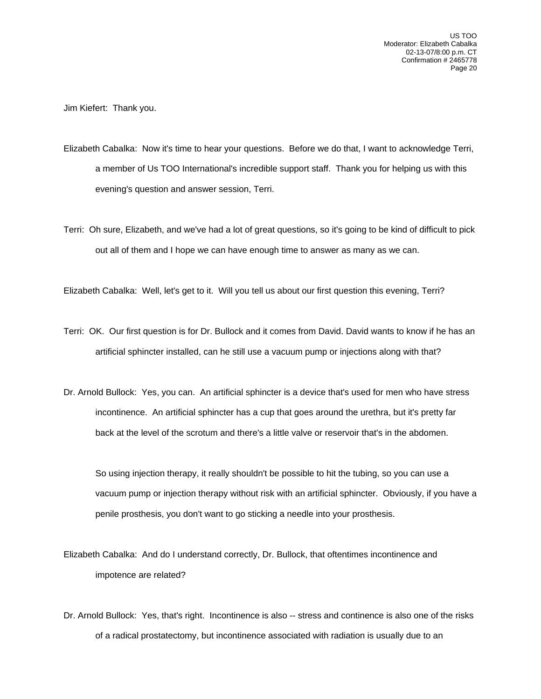Jim Kiefert: Thank you.

- Elizabeth Cabalka: Now it's time to hear your questions. Before we do that, I want to acknowledge Terri, a member of Us TOO International's incredible support staff. Thank you for helping us with this evening's question and answer session, Terri.
- Terri: Oh sure, Elizabeth, and we've had a lot of great questions, so it's going to be kind of difficult to pick out all of them and I hope we can have enough time to answer as many as we can.

Elizabeth Cabalka: Well, let's get to it. Will you tell us about our first question this evening, Terri?

- Terri: OK. Our first question is for Dr. Bullock and it comes from David. David wants to know if he has an artificial sphincter installed, can he still use a vacuum pump or injections along with that?
- Dr. Arnold Bullock: Yes, you can. An artificial sphincter is a device that's used for men who have stress incontinence. An artificial sphincter has a cup that goes around the urethra, but it's pretty far back at the level of the scrotum and there's a little valve or reservoir that's in the abdomen.

 So using injection therapy, it really shouldn't be possible to hit the tubing, so you can use a vacuum pump or injection therapy without risk with an artificial sphincter. Obviously, if you have a penile prosthesis, you don't want to go sticking a needle into your prosthesis.

Elizabeth Cabalka: And do I understand correctly, Dr. Bullock, that oftentimes incontinence and impotence are related?

Dr. Arnold Bullock: Yes, that's right. Incontinence is also -- stress and continence is also one of the risks of a radical prostatectomy, but incontinence associated with radiation is usually due to an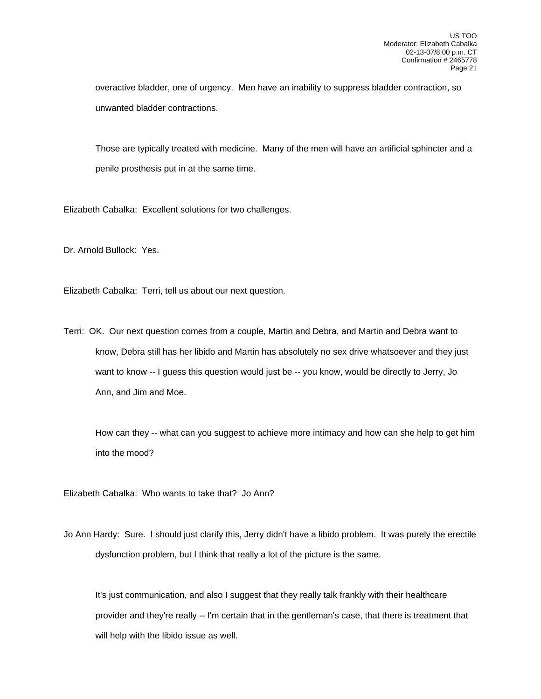overactive bladder, one of urgency. Men have an inability to suppress bladder contraction, so unwanted bladder contractions.

 Those are typically treated with medicine. Many of the men will have an artificial sphincter and a penile prosthesis put in at the same time.

Elizabeth Cabalka: Excellent solutions for two challenges.

Dr. Arnold Bullock: Yes.

Elizabeth Cabalka: Terri, tell us about our next question.

Terri: OK. Our next question comes from a couple, Martin and Debra, and Martin and Debra want to know, Debra still has her libido and Martin has absolutely no sex drive whatsoever and they just want to know -- I guess this question would just be -- you know, would be directly to Jerry, Jo Ann, and Jim and Moe.

 How can they -- what can you suggest to achieve more intimacy and how can she help to get him into the mood?

Elizabeth Cabalka: Who wants to take that? Jo Ann?

Jo Ann Hardy: Sure. I should just clarify this, Jerry didn't have a libido problem. It was purely the erectile dysfunction problem, but I think that really a lot of the picture is the same.

 It's just communication, and also I suggest that they really talk frankly with their healthcare provider and they're really -- I'm certain that in the gentleman's case, that there is treatment that will help with the libido issue as well.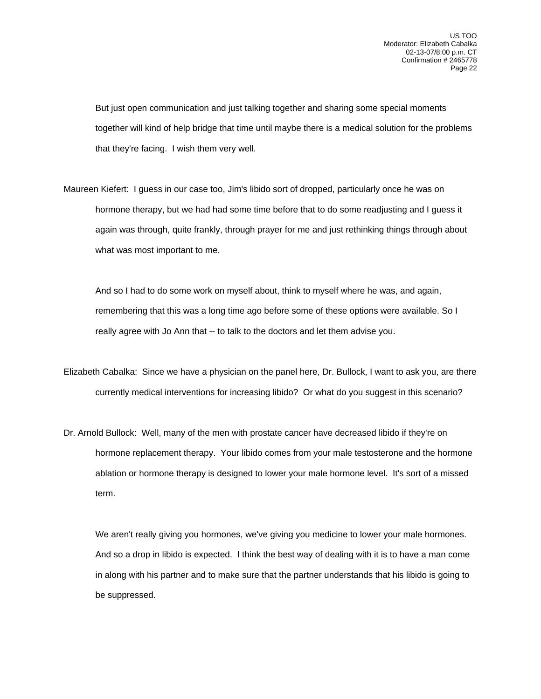But just open communication and just talking together and sharing some special moments together will kind of help bridge that time until maybe there is a medical solution for the problems that they're facing. I wish them very well.

Maureen Kiefert: I guess in our case too, Jim's libido sort of dropped, particularly once he was on hormone therapy, but we had had some time before that to do some readjusting and I guess it again was through, quite frankly, through prayer for me and just rethinking things through about what was most important to me.

 And so I had to do some work on myself about, think to myself where he was, and again, remembering that this was a long time ago before some of these options were available. So I really agree with Jo Ann that -- to talk to the doctors and let them advise you.

- Elizabeth Cabalka: Since we have a physician on the panel here, Dr. Bullock, I want to ask you, are there currently medical interventions for increasing libido? Or what do you suggest in this scenario?
- Dr. Arnold Bullock: Well, many of the men with prostate cancer have decreased libido if they're on hormone replacement therapy. Your libido comes from your male testosterone and the hormone ablation or hormone therapy is designed to lower your male hormone level. It's sort of a missed term.

 We aren't really giving you hormones, we've giving you medicine to lower your male hormones. And so a drop in libido is expected. I think the best way of dealing with it is to have a man come in along with his partner and to make sure that the partner understands that his libido is going to be suppressed.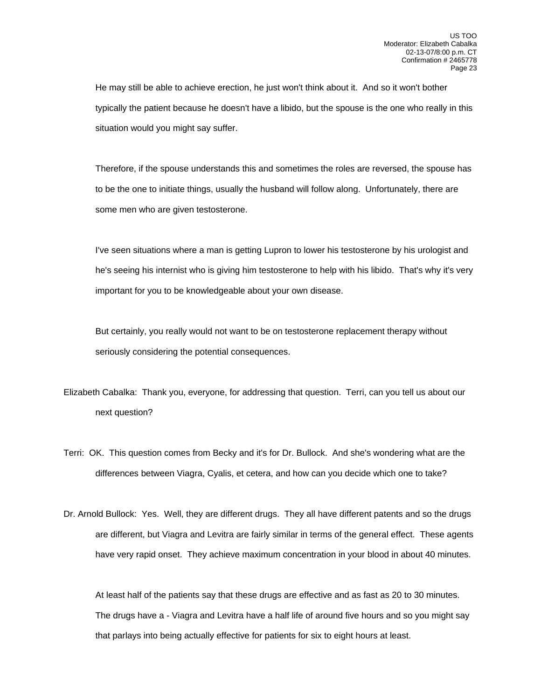He may still be able to achieve erection, he just won't think about it. And so it won't bother typically the patient because he doesn't have a libido, but the spouse is the one who really in this situation would you might say suffer.

 Therefore, if the spouse understands this and sometimes the roles are reversed, the spouse has to be the one to initiate things, usually the husband will follow along. Unfortunately, there are some men who are given testosterone.

 I've seen situations where a man is getting Lupron to lower his testosterone by his urologist and he's seeing his internist who is giving him testosterone to help with his libido. That's why it's very important for you to be knowledgeable about your own disease.

 But certainly, you really would not want to be on testosterone replacement therapy without seriously considering the potential consequences.

- Elizabeth Cabalka: Thank you, everyone, for addressing that question. Terri, can you tell us about our next question?
- Terri: OK. This question comes from Becky and it's for Dr. Bullock. And she's wondering what are the differences between Viagra, Cyalis, et cetera, and how can you decide which one to take?
- Dr. Arnold Bullock: Yes. Well, they are different drugs. They all have different patents and so the drugs are different, but Viagra and Levitra are fairly similar in terms of the general effect. These agents have very rapid onset. They achieve maximum concentration in your blood in about 40 minutes.

 At least half of the patients say that these drugs are effective and as fast as 20 to 30 minutes. The drugs have a - Viagra and Levitra have a half life of around five hours and so you might say that parlays into being actually effective for patients for six to eight hours at least.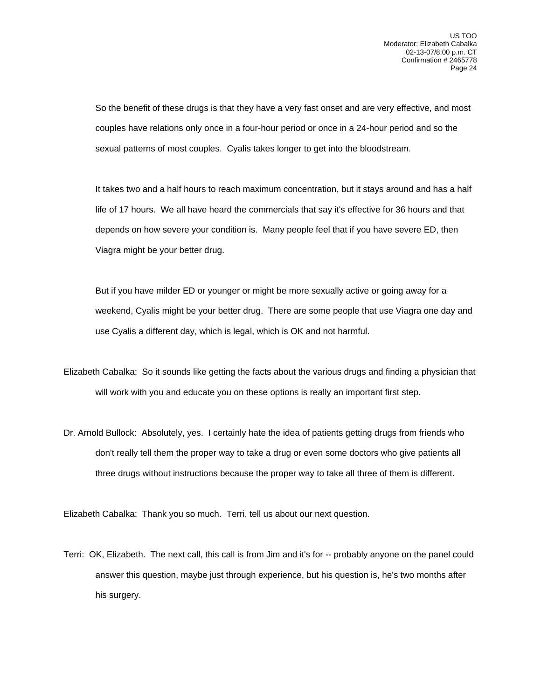So the benefit of these drugs is that they have a very fast onset and are very effective, and most couples have relations only once in a four-hour period or once in a 24-hour period and so the sexual patterns of most couples. Cyalis takes longer to get into the bloodstream.

 It takes two and a half hours to reach maximum concentration, but it stays around and has a half life of 17 hours. We all have heard the commercials that say it's effective for 36 hours and that depends on how severe your condition is. Many people feel that if you have severe ED, then Viagra might be your better drug.

 But if you have milder ED or younger or might be more sexually active or going away for a weekend, Cyalis might be your better drug. There are some people that use Viagra one day and use Cyalis a different day, which is legal, which is OK and not harmful.

- Elizabeth Cabalka: So it sounds like getting the facts about the various drugs and finding a physician that will work with you and educate you on these options is really an important first step.
- Dr. Arnold Bullock: Absolutely, yes. I certainly hate the idea of patients getting drugs from friends who don't really tell them the proper way to take a drug or even some doctors who give patients all three drugs without instructions because the proper way to take all three of them is different.

Elizabeth Cabalka: Thank you so much. Terri, tell us about our next question.

Terri: OK, Elizabeth. The next call, this call is from Jim and it's for -- probably anyone on the panel could answer this question, maybe just through experience, but his question is, he's two months after his surgery.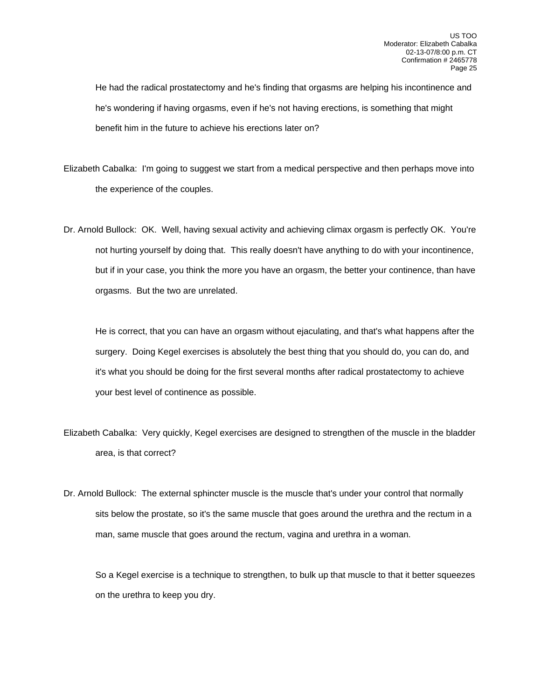He had the radical prostatectomy and he's finding that orgasms are helping his incontinence and he's wondering if having orgasms, even if he's not having erections, is something that might benefit him in the future to achieve his erections later on?

- Elizabeth Cabalka: I'm going to suggest we start from a medical perspective and then perhaps move into the experience of the couples.
- Dr. Arnold Bullock: OK. Well, having sexual activity and achieving climax orgasm is perfectly OK. You're not hurting yourself by doing that. This really doesn't have anything to do with your incontinence, but if in your case, you think the more you have an orgasm, the better your continence, than have orgasms. But the two are unrelated.

 He is correct, that you can have an orgasm without ejaculating, and that's what happens after the surgery. Doing Kegel exercises is absolutely the best thing that you should do, you can do, and it's what you should be doing for the first several months after radical prostatectomy to achieve your best level of continence as possible.

- Elizabeth Cabalka: Very quickly, Kegel exercises are designed to strengthen of the muscle in the bladder area, is that correct?
- Dr. Arnold Bullock: The external sphincter muscle is the muscle that's under your control that normally sits below the prostate, so it's the same muscle that goes around the urethra and the rectum in a man, same muscle that goes around the rectum, vagina and urethra in a woman.

 So a Kegel exercise is a technique to strengthen, to bulk up that muscle to that it better squeezes on the urethra to keep you dry.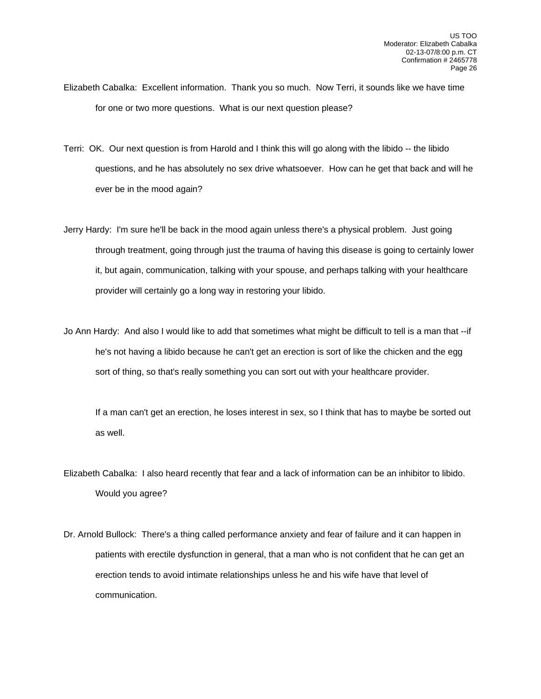- Elizabeth Cabalka: Excellent information. Thank you so much. Now Terri, it sounds like we have time for one or two more questions. What is our next question please?
- Terri: OK. Our next question is from Harold and I think this will go along with the libido -- the libido questions, and he has absolutely no sex drive whatsoever. How can he get that back and will he ever be in the mood again?
- Jerry Hardy: I'm sure he'll be back in the mood again unless there's a physical problem. Just going through treatment, going through just the trauma of having this disease is going to certainly lower it, but again, communication, talking with your spouse, and perhaps talking with your healthcare provider will certainly go a long way in restoring your libido.
- Jo Ann Hardy: And also I would like to add that sometimes what might be difficult to tell is a man that --if he's not having a libido because he can't get an erection is sort of like the chicken and the egg sort of thing, so that's really something you can sort out with your healthcare provider.

 If a man can't get an erection, he loses interest in sex, so I think that has to maybe be sorted out as well.

Elizabeth Cabalka: I also heard recently that fear and a lack of information can be an inhibitor to libido. Would you agree?

Dr. Arnold Bullock: There's a thing called performance anxiety and fear of failure and it can happen in patients with erectile dysfunction in general, that a man who is not confident that he can get an erection tends to avoid intimate relationships unless he and his wife have that level of communication.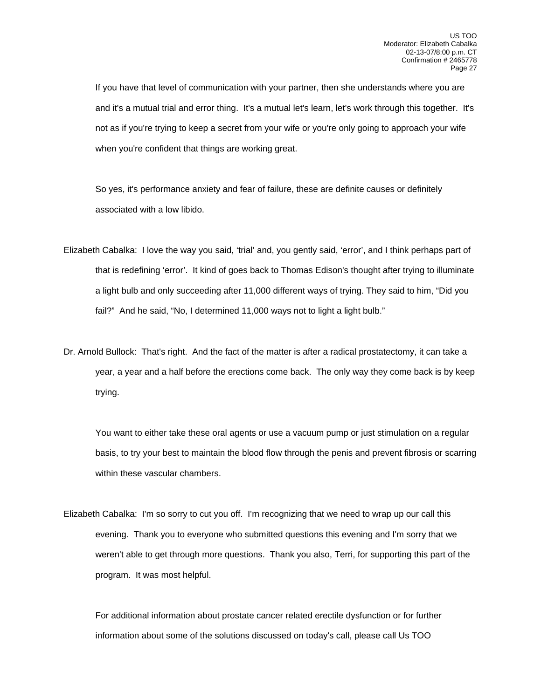If you have that level of communication with your partner, then she understands where you are and it's a mutual trial and error thing. It's a mutual let's learn, let's work through this together. It's not as if you're trying to keep a secret from your wife or you're only going to approach your wife when you're confident that things are working great.

 So yes, it's performance anxiety and fear of failure, these are definite causes or definitely associated with a low libido.

- Elizabeth Cabalka: I love the way you said, 'trial' and, you gently said, 'error', and I think perhaps part of that is redefining 'error'. It kind of goes back to Thomas Edison's thought after trying to illuminate a light bulb and only succeeding after 11,000 different ways of trying. They said to him, "Did you fail?" And he said, "No, I determined 11,000 ways not to light a light bulb."
- Dr. Arnold Bullock: That's right. And the fact of the matter is after a radical prostatectomy, it can take a year, a year and a half before the erections come back. The only way they come back is by keep trying.

 You want to either take these oral agents or use a vacuum pump or just stimulation on a regular basis, to try your best to maintain the blood flow through the penis and prevent fibrosis or scarring within these vascular chambers.

Elizabeth Cabalka: I'm so sorry to cut you off. I'm recognizing that we need to wrap up our call this evening. Thank you to everyone who submitted questions this evening and I'm sorry that we weren't able to get through more questions. Thank you also, Terri, for supporting this part of the program. It was most helpful.

 For additional information about prostate cancer related erectile dysfunction or for further information about some of the solutions discussed on today's call, please call Us TOO